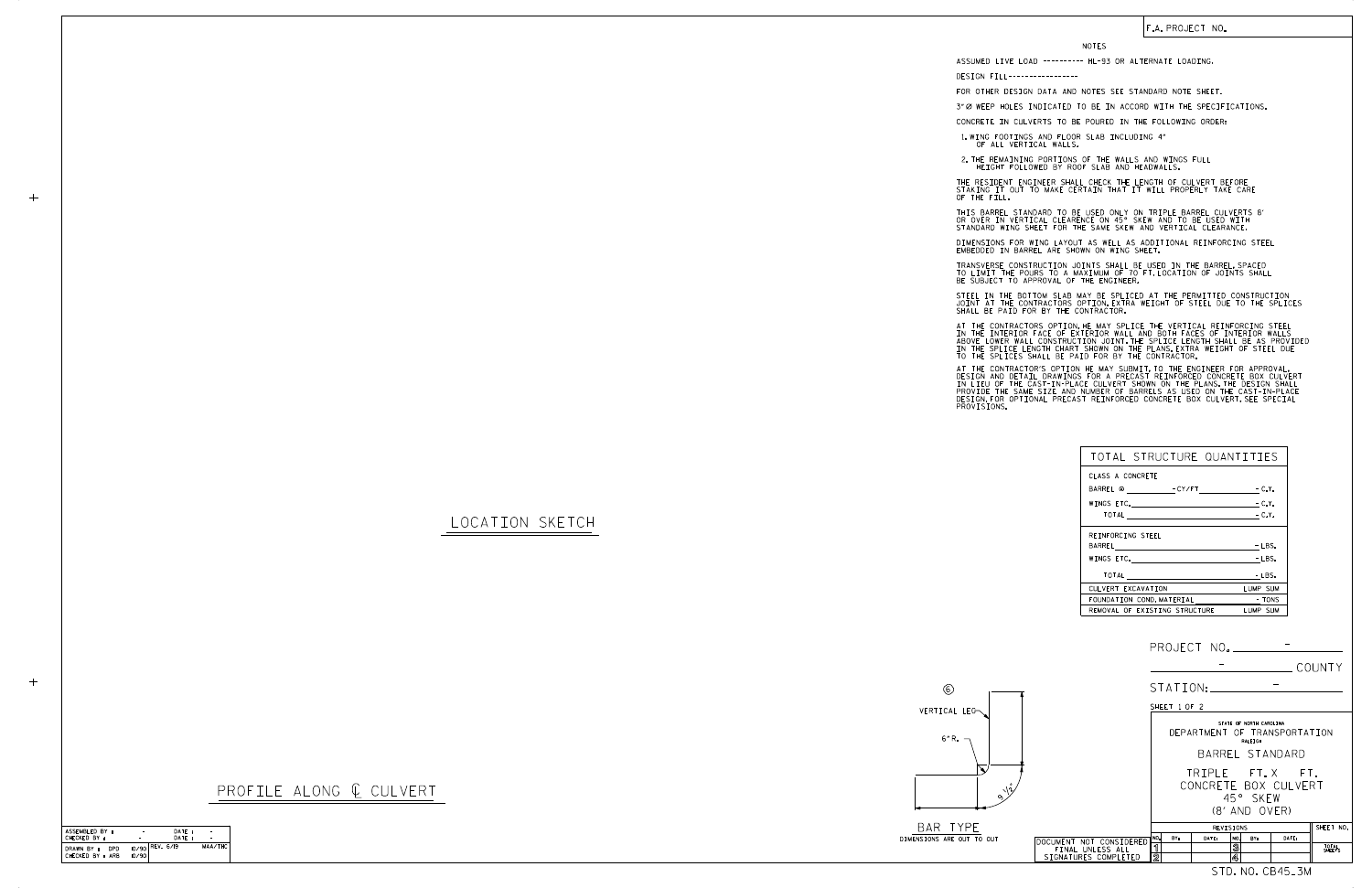SHEET 1 OF 2

(8' AND OVER) 45° SKEW CONCRETE BOX CULVERT TRIPLE FT. X FT.

| PROJECT NO. |        |
|-------------|--------|
|             | COUNTY |

BARREL STANDARD STATE OF NORTH CAROLINA RALEIGH DEPARTMENT OF TRANSPORTATION

| ASSEMBLED BY :                         | ٠     | DATE:           |         |
|----------------------------------------|-------|-----------------|---------|
| CHECKED BY :                           |       | DATF:           |         |
| DRAWN BY :<br>DPD.<br>CHECKED BY : ARB | 10/90 | 10/90 REV. 6/19 | MAA/THC |

|                         |                |     | REVISIONS |     |     |       | SHEET NO.       |
|-------------------------|----------------|-----|-----------|-----|-----|-------|-----------------|
| DOCUMENT NOT CONSIDERED | 1l NO.         | BY: | DATE:     | NO. | BY: | DATE: |                 |
| FINAL UNLESS ALL        |                |     |           | 3   |     |       | TOTAL<br>SHEETS |
| SIGNATURES COMPLETED    | $\overline{2}$ |     |           | 4   |     |       |                 |
|                         |                |     |           |     |     | CB45  |                 |

STATION:

DESIGN FILL----------------- FOR OTHER DESIGN DATA AND NOTES SEE STANDARD NOTE SHEET. 3" Ø WEEP HOLES INDICATED TO BE IN ACCORD WITH THE SPECIFICATIONS.

-

## LOCATION SKETCH

 $+$ 







| TOTAL STRUCTURE QUANTITIES           |          |
|--------------------------------------|----------|
| CLASS A CONCRETE                     |          |
| BARREL @ FCY/FT FCLY.                |          |
| WINGS ETC. $-C.Y.$                   |          |
| $\overline{10TAL}$ $\overline{C.V.}$ |          |
| REINFORCING STEEL                    |          |
|                                      | $-LBS.$  |
|                                      | - LBS.   |
|                                      | - LBS.   |
| CULVERT EXCAVATION                   | LUMP SUM |
| FOUNDATION COND. MATERIAL TONS       |          |
| REMOVAL OF EXISTING STRUCTURE        | LUMP SUM |

## F.A. PROJECT NO.

## NOTES

CONCRETE IN CULVERTS TO BE POURED IN THE FOLLOWING ORDER:

1.WING FOOTINGS AND FLOOR SLAB INCLUDING 4"<br>OF ALL VERTICAL WALLS.

2.THE REMAINING PORTIONS OF THE WALLS AND WINGS FULL<br>HEIGHT FOLLOWED BY ROOF SLAB AND HEADWALLS.

THE RESIDENT ENGINEER SHALL CHECK THE LENGTH OF CULVERT BEFORE<br>STAKING IT OUT TO MAKE CERTAIN THAT IT WILL PROPERLY TAKE CARE<br>OF THE FILL.

STANDARD WING SHEET FOR THE SAME SKEW AND VERTICAL CLEARANCE. THIS BARREL STANDARD TO BE USED ONLY ON TRIPLE BARREL CULVERTS 8' OR OVER IN VERTICAL CLEARENCE ON 45° SKEW AND TO BE USED WITH

DIMENSIONS FOR WING LAYOUT AS WELL AS ADDITIONAL REINFORCING STEEL<br>EMBEDDED IN BARREL ARE SHOWN ON WING SHEET.

TRANSVERSE CONSTRUCTION JOINTS SHALL BE USED IN THE BARREL,SPACED<br>TO LIMIT THE POURS TO A MAXIMUM OF 70 FT.LOCATION OF JOINTS SHALL<br>BE SUBJECT TO APPROVAL OF THE ENGINEER.

STEEL IN THE BOTTOM SLAB MAY BE SPLICED AT THE PERMITTED CONSTRUCTION<br>JOINT AT THE CONTRACTORS OPTION.EXTRA WEIGHT OF STEEL DUE TO THE SPLICES<br>SHALL BE PAID FOR BY THE CONTRACTOR.

AT THE CONTRACTORS OPTION,HE MAY SPLICE THE VERTICAL REINFORCING STEEL<br>IN THE INTERIOR FACE OF EXTERIOR WALL AND BOTH FACES OF INTERIOR WALLS<br>ABOVE LOWER WALL CONSTRUCTION JOINT.THE SPLICE LENGTH SHALL BE AS PROVIDED<br>IN TH

AT THE CONTRACTOR'S OPTION HE MAY SUBMIT, TO THE ENGINEER FOR APPROVAL,<br>DESIGN AND DETAIL DRAWINGS FOR A PRECAST REINFORCED CONCRETE BOX CULVERT<br>IN LIEU OF THE CAST-IN-PLACE CULVERT SHOWN ON THE PLANS, THE DESIGN SHALL<br>PRO

ASSUMED LIVE LOAD ---------- HL-93 OR ALTERNATE LOADING.